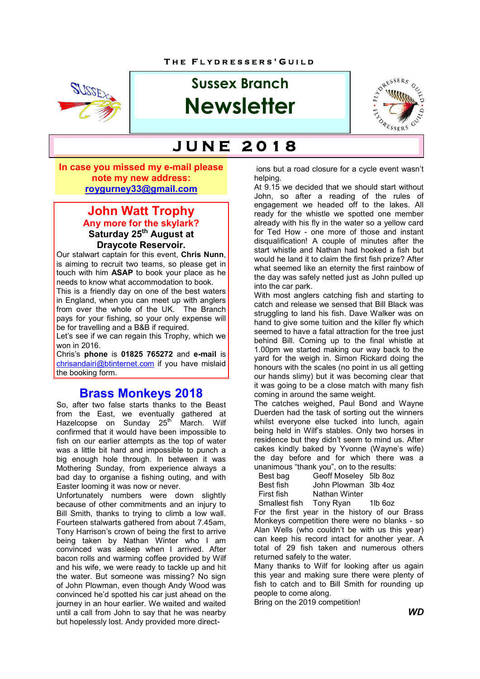

# **Sussex Branch Newsletter**



# **J U N E 2 0 1 8**

**In case you missed my e-mail please note my new address: roygurney33@gmail.com**

#### **John Watt Trophy Any more for the skylark? Saturday 25th August at Draycote Reservoir.**

Our stalwart captain for this event, **Chris Nunn**, is aiming to recruit two teams, so please get in touch with him **ASAP** to book your place as he needs to know what accommodation to book.

This is a friendly day on one of the best waters in England, when you can meet up with anglers from over the whole of the UK. The Branch pays for your fishing, so your only expense will be for travelling and a B&B if required.

Let's see if we can regain this Trophy, which we won in 2016.

Chris's **phone** is **01825 765272** and **e-mail** is chrisandairi@btinternet.com if you have mislaid the booking form.

## **Brass Monkeys 2018**

So, after two false starts thanks to the Beast from the East, we eventually gathered at Hazelcopse on Sunday 25<sup>th</sup> March. Wilf confirmed that it would have been impossible to fish on our earlier attempts as the top of water was a little bit hard and impossible to punch a big enough hole through. In between it was Mothering Sunday, from experience always a bad day to organise a fishing outing, and with Easter looming it was now or never.

Unfortunately numbers were down slightly because of other commitments and an injury to Bill Smith, thanks to trying to climb a low wall. Fourteen stalwarts gathered from about 7.45am, Tony Harrison's crown of being the first to arrive being taken by Nathan Winter who I am convinced was asleep when I arrived. After bacon rolls and warming coffee provided by Wilf and his wife, we were ready to tackle up and hit the water. But someone was missing? No sign of John Plowman, even though Andy Wood was convinced he'd spotted his car just ahead on the journey in an hour earlier. We waited and waited until a call from John to say that he was nearby but hopelessly lost. Andy provided more direct-

 ions but a road closure for a cycle event wasn't helping.

At 9.15 we decided that we should start without John, so after a reading of the rules of engagement we headed off to the lakes. All ready for the whistle we spotted one member already with his fly in the water so a yellow card for Ted How - one more of those and instant disqualification! A couple of minutes after the start whistle and Nathan had hooked a fish but would he land it to claim the first fish prize? After what seemed like an eternity the first rainbow of the day was safely netted just as John pulled up into the car park.

With most anglers catching fish and starting to catch and release we sensed that Bill Black was struggling to land his fish. Dave Walker was on hand to give some tuition and the killer fly which seemed to have a fatal attraction for the tree just behind Bill. Coming up to the final whistle at 1.00pm we started making our way back to the yard for the weigh in. Simon Rickard doing the honours with the scales (no point in us all getting our hands slimy) but it was becoming clear that it was going to be a close match with many fish coming in around the same weight.

The catches weighed, Paul Bond and Wayne Duerden had the task of sorting out the winners whilst everyone else tucked into lunch, again being held in Wilf's stables. Only two horses in residence but they didn't seem to mind us. After cakes kindly baked by Yvonne (Wayne's wife) the day before and for which there was a unanimous "thank you", on to the results:

| Best bag   | Geoff Moseley 5lb 8oz |  |
|------------|-----------------------|--|
| Best fish  | John Plowman 3lb 4oz  |  |
| First fish | Nathan Winter         |  |
|            |                       |  |

Smallest fish Tony Ryan 1lb 6oz For the first year in the history of our Brass Monkeys competition there were no blanks - so Alan Wells (who couldn't be with us this year) can keep his record intact for another year. A total of 29 fish taken and numerous others returned safely to the water.

Many thanks to Wilf for looking after us again this year and making sure there were plenty of fish to catch and to Bill Smith for rounding up people to come along.

Bring on the 2019 competition!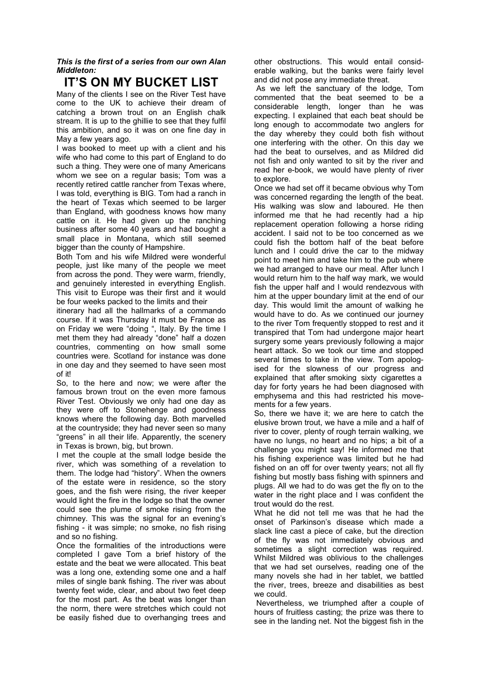*This is the first of a series from our own Alan Middleton:* 

## **IT'S ON MY BUCKET LIST**

Many of the clients I see on the River Test have come to the UK to achieve their dream of catching a brown trout on an English chalk stream. It is up to the ghillie to see that they fulfil this ambition, and so it was on one fine day in May a few years ago.

I was booked to meet up with a client and his wife who had come to this part of England to do such a thing. They were one of many Americans whom we see on a regular basis; Tom was a recently retired cattle rancher from Texas where, I was told, everything is BIG. Tom had a ranch in the heart of Texas which seemed to be larger than England, with goodness knows how many cattle on it. He had given up the ranching business after some 40 years and had bought a small place in Montana, which still seemed bigger than the county of Hampshire.

Both Tom and his wife Mildred were wonderful people, just like many of the people we meet from across the pond. They were warm, friendly, and genuinely interested in everything English. This visit to Europe was their first and it would be four weeks packed to the limits and their

itinerary had all the hallmarks of a commando course. If it was Thursday it must be France as on Friday we were "doing ", Italy. By the time I met them they had already "done" half a dozen countries, commenting on how small some countries were. Scotland for instance was done in one day and they seemed to have seen most of it!

So, to the here and now; we were after the famous brown trout on the even more famous River Test. Obviously we only had one day as they were off to Stonehenge and goodness knows where the following day. Both marvelled at the countryside; they had never seen so many "greens" in all their life. Apparently, the scenery in Texas is brown, big, but brown.

I met the couple at the small lodge beside the river, which was something of a revelation to them. The lodge had "history". When the owners of the estate were in residence, so the story goes, and the fish were rising, the river keeper would light the fire in the lodge so that the owner could see the plume of smoke rising from the chimney. This was the signal for an evening's fishing - it was simple; no smoke, no fish rising and so no fishing.

Once the formalities of the introductions were completed I gave Tom a brief history of the estate and the beat we were allocated. This beat was a long one, extending some one and a half miles of single bank fishing. The river was about twenty feet wide, clear, and about two feet deep for the most part. As the beat was longer than the norm, there were stretches which could not be easily fished due to overhanging trees and other obstructions. This would entail considerable walking, but the banks were fairly level and did not pose any immediate threat.

 As we left the sanctuary of the lodge, Tom commented that the beat seemed to be a considerable length, longer than he was expecting. I explained that each beat should be long enough to accommodate two anglers for the day whereby they could both fish without one interfering with the other. On this day we had the beat to ourselves, and as Mildred did not fish and only wanted to sit by the river and read her e-book, we would have plenty of river to explore.

Once we had set off it became obvious why Tom was concerned regarding the length of the beat. His walking was slow and laboured. He then informed me that he had recently had a hip replacement operation following a horse riding accident. I said not to be too concerned as we could fish the bottom half of the beat before lunch and I could drive the car to the midway point to meet him and take him to the pub where we had arranged to have our meal. After lunch I would return him to the half way mark, we would fish the upper half and I would rendezvous with him at the upper boundary limit at the end of our day. This would limit the amount of walking he would have to do. As we continued our journey to the river Tom frequently stopped to rest and it transpired that Tom had undergone major heart surgery some years previously following a major heart attack. So we took our time and stopped several times to take in the view. Tom apologised for the slowness of our progress and explained that after smoking sixty cigarettes a day for forty years he had been diagnosed with emphysema and this had restricted his movements for a few years.

So, there we have it; we are here to catch the elusive brown trout, we have a mile and a half of river to cover, plenty of rough terrain walking, we have no lungs, no heart and no hips; a bit of a challenge you might say! He informed me that his fishing experience was limited but he had fished on an off for over twenty years; not all fly fishing but mostly bass fishing with spinners and plugs. All we had to do was get the fly on to the water in the right place and I was confident the trout would do the rest.

What he did not tell me was that he had the onset of Parkinson's disease which made a slack line cast a piece of cake, but the direction of the fly was not immediately obvious and sometimes a slight correction was required. Whilst Mildred was oblivious to the challenges that we had set ourselves, reading one of the many novels she had in her tablet, we battled the river, trees, breeze and disabilities as best we could.

 Nevertheless, we triumphed after a couple of hours of fruitless casting; the prize was there to see in the landing net. Not the biggest fish in the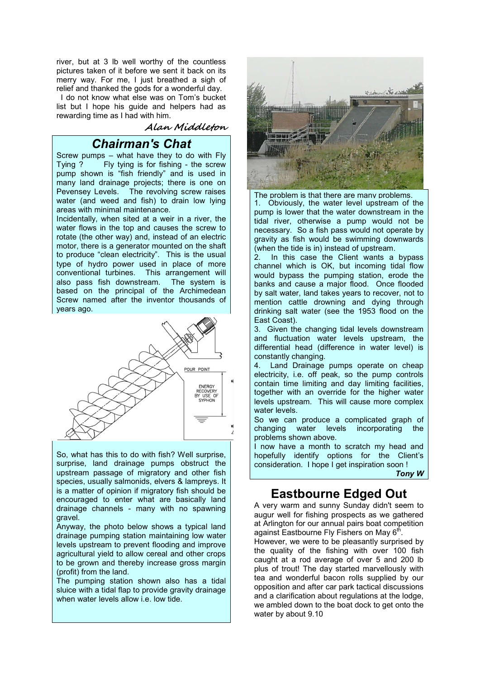river, but at 3 lb well worthy of the countless pictures taken of it before we sent it back on its merry way. For me. I just breathed a sigh of relief and thanked the gods for a wonderful day.

 I do not know what else was on Tom's bucket list but I hope his guide and helpers had as rewarding time as I had with him.

#### **Alan Middleton**

## *Chairman's Chat*

Screw pumps – what have they to do with Fly Tying ? Fly tying is for fishing - the screw pump shown is "fish friendly" and is used in many land drainage projects; there is one on Pevensey Levels. The revolving screw raises water (and weed and fish) to drain low lying areas with minimal maintenance.

Incidentally, when sited at a weir in a river, the water flows in the top and causes the screw to rotate (the other way) and, instead of an electric motor, there is a generator mounted on the shaft to produce "clean electricity". This is the usual type of hydro power used in place of more conventional turbines. This arrangement will also pass fish downstream. The system is based on the principal of the Archimedean Screw named after the inventor thousands of years ago.



So, what has this to do with fish? Well surprise, surprise, land drainage pumps obstruct the upstream passage of migratory and other fish species, usually salmonids, elvers & lampreys. It is a matter of opinion if migratory fish should be encouraged to enter what are basically land drainage channels - many with no spawning gravel.

Anyway, the photo below shows a typical land drainage pumping station maintaining low water levels upstream to prevent flooding and improve agricultural yield to allow cereal and other crops to be grown and thereby increase gross margin (profit) from the land.

The pumping station shown also has a tidal sluice with a tidal flap to provide gravity drainage when water levels allow i.e. low tide.



The problem is that there are many problems. 1. Obviously, the water level upstream of the pump is lower that the water downstream in the tidal river, otherwise a pump would not be necessary. So a fish pass would not operate by gravity as fish would be swimming downwards (when the tide is in) instead of upstream.

2. In this case the Client wants a bypass channel which is OK, but incoming tidal flow would bypass the pumping station, erode the banks and cause a major flood. Once flooded by salt water, land takes years to recover, not to mention cattle drowning and dying through drinking salt water (see the 1953 flood on the East Coast).

3. Given the changing tidal levels downstream and fluctuation water levels upstream, the differential head (difference in water level) is constantly changing.

4. Land Drainage pumps operate on cheap electricity, i.e. off peak, so the pump controls contain time limiting and day limiting facilities, together with an override for the higher water levels upstream. This will cause more complex water levels.

So we can produce a complicated graph of changing water levels incorporating the problems shown above.

I now have a month to scratch my head and hopefully identify options for the Client's consideration. I hope I get inspiration soon !

*Tony W*

## **Eastbourne Edged Out**

A very warm and sunny Sunday didn't seem to augur well for fishing prospects as we gathered at Arlington for our annual pairs boat competition against Eastbourne Fly Fishers on May  $6<sup>th</sup>$ 

However, we were to be pleasantly surprised by the quality of the fishing with over 100 fish caught at a rod average of over 5 and 200 lb plus of trout! The day started marvellously with tea and wonderful bacon rolls supplied by our opposition and after car park tactical discussions and a clarification about regulations at the lodge, we ambled down to the boat dock to get onto the water by about 9.10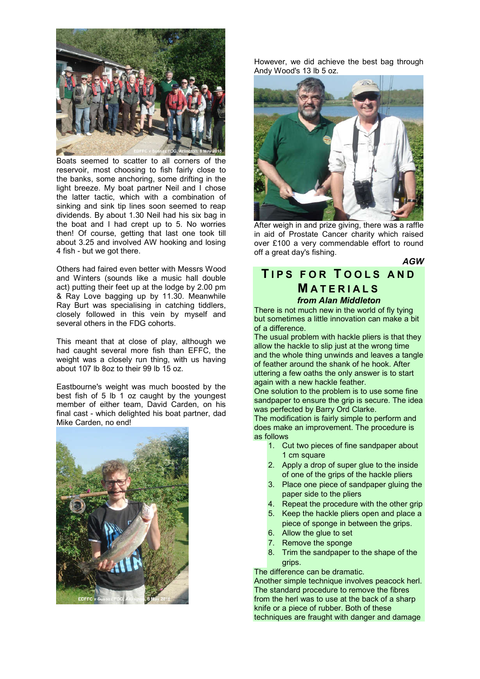

Boats seemed to scatter to all corners of the reservoir, most choosing to fish fairly close to the banks, some anchoring, some drifting in the light breeze. My boat partner Neil and I chose the latter tactic, which with a combination of sinking and sink tip lines soon seemed to reap dividends. By about 1.30 Neil had his six bag in the boat and I had crept up to 5. No worries then! Of course, getting that last one took till about 3.25 and involved AW hooking and losing 4 fish - but we got there.

Others had faired even better with Messrs Wood and Winters (sounds like a music hall double act) putting their feet up at the lodge by 2.00 pm & Ray Love bagging up by 11.30. Meanwhile Ray Burt was specialising in catching tiddlers, closely followed in this vein by myself and several others in the FDG cohorts.

This meant that at close of play, although we had caught several more fish than EFFC, the weight was a closely run thing, with us having about 107 lb 8oz to their 99 lb 15 oz.

Eastbourne's weight was much boosted by the best fish of 5 lb 1 oz caught by the youngest member of either team, David Carden, on his final cast - which delighted his boat partner, dad Mike Carden, no end!



However, we did achieve the best bag through Andy Wood's 13 lb 5 oz.



After weigh in and prize giving, there was a raffle in aid of Prostate Cancer charity which raised over £100 a very commendable effort to round off a great day's fishing.

*AGW*

### **T I P S F O R T O O L S A N D M A T E R I A L S** *from Alan Middleton*

There is not much new in the world of fly tying but sometimes a little innovation can make a bit of a difference.

The usual problem with hackle pliers is that they allow the hackle to slip just at the wrong time and the whole thing unwinds and leaves a tangle of feather around the shank of he hook. After uttering a few oaths the only answer is to start again with a new hackle feather.

One solution to the problem is to use some fine sandpaper to ensure the grip is secure. The idea was perfected by Barry Ord Clarke.

The modification is fairly simple to perform and does make an improvement. The procedure is as follows

- 1. Cut two pieces of fine sandpaper about 1 cm square
- 2. Apply a drop of super glue to the inside of one of the grips of the hackle pliers
- 3. Place one piece of sandpaper gluing the paper side to the pliers
- 4. Repeat the procedure with the other grip
- 5. Keep the hackle pliers open and place a piece of sponge in between the grips.
- 6. Allow the glue to set
- 7. Remove the sponge
- 8. Trim the sandpaper to the shape of the grips.

The difference can be dramatic.

Another simple technique involves peacock herl. The standard procedure to remove the fibres from the herl was to use at the back of a sharp knife or a piece of rubber. Both of these techniques are fraught with danger and damage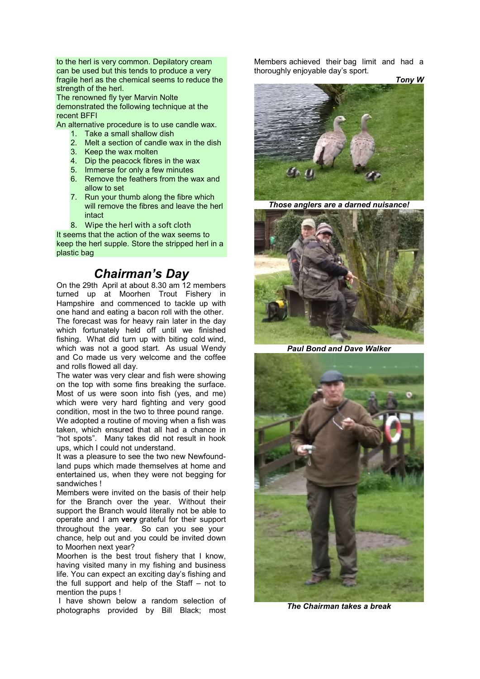to the herl is very common. Depilatory cream can be used but this tends to produce a very fragile herl as the chemical seems to reduce the strength of the herl.

The renowned fly tyer Marvin Nolte demonstrated the following technique at the recent BFFI

An alternative procedure is to use candle wax.

- 1. Take a small shallow dish
- 2. Melt a section of candle wax in the dish
- 3. Keep the wax molten
- 4. Dip the peacock fibres in the wax
- 5. Immerse for only a few minutes
- 6. Remove the feathers from the wax and allow to set
- 7. Run your thumb along the fibre which will remove the fibres and leave the herl intact
- 8. Wipe the herl with a soft cloth

It seems that the action of the wax seems to keep the herl supple. Store the stripped herl in a plastic bag

## *Chairman's Day*

On the 29th April at about 8.30 am 12 members turned up at Moorhen Trout Fishery in Hampshire and commenced to tackle up with one hand and eating a bacon roll with the other. The forecast was for heavy rain later in the day which fortunately held off until we finished fishing. What did turn up with biting cold wind, which was not a good start. As usual Wendy and Co made us very welcome and the coffee and rolls flowed all day.

The water was very clear and fish were showing on the top with some fins breaking the surface. Most of us were soon into fish (yes, and me) which were very hard fighting and very good condition, most in the two to three pound range.

We adopted a routine of moving when a fish was taken, which ensured that all had a chance in "hot spots". Many takes did not result in hook ups, which I could not understand.

It was a pleasure to see the two new Newfoundland pups which made themselves at home and entertained us, when they were not begging for sandwiches !

Members were invited on the basis of their help for the Branch over the year. Without their support the Branch would literally not be able to operate and I am **very** grateful for their support throughout the year. So can you see your chance, help out and you could be invited down to Moorhen next year?

Moorhen is the best trout fishery that I know, having visited many in my fishing and business life. You can expect an exciting day's fishing and the full support and help of the Staff – not to mention the pups !

I have shown below a random selection of photographs provided by Bill Black; most Members achieved their bag limit and had a thoroughly enjoyable day's sport.

*Tony W*



*Those anglers are a darned nuisance!*



*Paul Bond and Dave Walker*



*The Chairman takes a break*